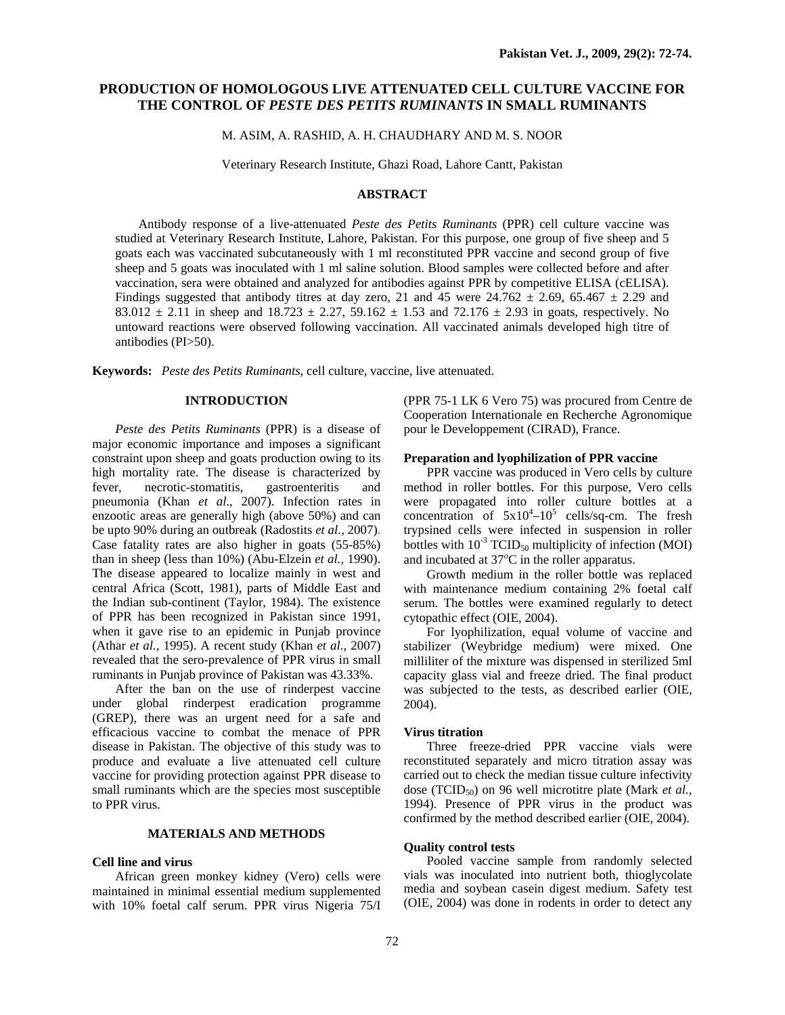# **PRODUCTION OF HOMOLOGOUS LIVE ATTENUATED CELL CULTURE VACCINE FOR THE CONTROL OF** *PESTE DES PETITS RUMINANTS* **IN SMALL RUMINANTS**

M. ASIM, A. RASHID, A. H. CHAUDHARY AND M. S. NOOR

Veterinary Research Institute, Ghazi Road, Lahore Cantt, Pakistan

### **ABSTRACT**

Antibody response of a live-attenuated *Peste des Petits Ruminants* (PPR) cell culture vaccine was studied at Veterinary Research Institute, Lahore, Pakistan. For this purpose, one group of five sheep and 5 goats each was vaccinated subcutaneously with 1 ml reconstituted PPR vaccine and second group of five sheep and 5 goats was inoculated with 1 ml saline solution. Blood samples were collected before and after vaccination, sera were obtained and analyzed for antibodies against PPR by competitive ELISA (cELISA). Findings suggested that antibody titres at day zero, 21 and 45 were  $24.762 \pm 2.69$ , 65.467  $\pm$  2.29 and 83.012  $\pm$  2.11 in sheep and 18.723  $\pm$  2.27, 59.162  $\pm$  1.53 and 72.176  $\pm$  2.93 in goats, respectively. No untoward reactions were observed following vaccination. All vaccinated animals developed high titre of antibodies (PI>50).

**Keywords:** *Peste des Petits Ruminants*, cell culture, vaccine, live attenuated.

# **INTRODUCTION**

*Peste des Petits Ruminants* (PPR) is a disease of major economic importance and imposes a significant constraint upon sheep and goats production owing to its high mortality rate. The disease is characterized by fever, necrotic-stomatitis, gastroenteritis and pneumonia (Khan *et al*., 2007). Infection rates in enzootic areas are generally high (above 50%) and can be upto 90% during an outbreak (Radostits *et al.,* 2007). Case fatality rates are also higher in goats (55-85%) than in sheep (less than 10%) (Abu-Elzein *et al.,* 1990). The disease appeared to localize mainly in west and central Africa (Scott, 1981), parts of Middle East and the Indian sub-continent (Taylor, 1984). The existence of PPR has been recognized in Pakistan since 1991, when it gave rise to an epidemic in Punjab province (Athar *et al.,* 1995). A recent study (Khan *et al*., 2007) revealed that the sero-prevalence of PPR virus in small ruminants in Punjab province of Pakistan was 43.33%.

After the ban on the use of rinderpest vaccine under global rinderpest eradication programme (GREP), there was an urgent need for a safe and efficacious vaccine to combat the menace of PPR disease in Pakistan. The objective of this study was to produce and evaluate a live attenuated cell culture vaccine for providing protection against PPR disease to small ruminants which are the species most susceptible to PPR virus.

# **MATERIALS AND METHODS**

#### **Cell line and virus**

African green monkey kidney (Vero) cells were maintained in minimal essential medium supplemented with 10% foetal calf serum. PPR virus Nigeria 75/I (PPR 75-1 LK 6 Vero 75) was procured from Centre de Cooperation Internationale en Recherche Agronomique pour le Developpement (CIRAD), France.

## **Preparation and lyophilization of PPR vaccine**

PPR vaccine was produced in Vero cells by culture method in roller bottles. For this purpose, Vero cells were propagated into roller culture bottles at a concentration of  $5x10^4 - 10^5$  cells/sq-cm. The fresh trypsined cells were infected in suspension in roller bottles with  $10^{-3}$  TCID<sub>50</sub> multiplicity of infection (MOI) and incubated at  $37^{\circ}$ C in the roller apparatus.

Growth medium in the roller bottle was replaced with maintenance medium containing 2% foetal calf serum. The bottles were examined regularly to detect cytopathic effect (OIE, 2004).

For lyophilization, equal volume of vaccine and stabilizer (Weybridge medium) were mixed. One milliliter of the mixture was dispensed in sterilized 5ml capacity glass vial and freeze dried. The final product was subjected to the tests, as described earlier (OIE, 2004).

### **Virus titration**

Three freeze-dried PPR vaccine vials were reconstituted separately and micro titration assay was carried out to check the median tissue culture infectivity dose (TCID<sub>50</sub>) on 96 well microtitre plate (Mark *et al.*, 1994). Presence of PPR virus in the product was confirmed by the method described earlier (OIE, 2004).

# **Quality control tests**

Pooled vaccine sample from randomly selected vials was inoculated into nutrient both, thioglycolate media and soybean casein digest medium. Safety test (OIE, 2004) was done in rodents in order to detect any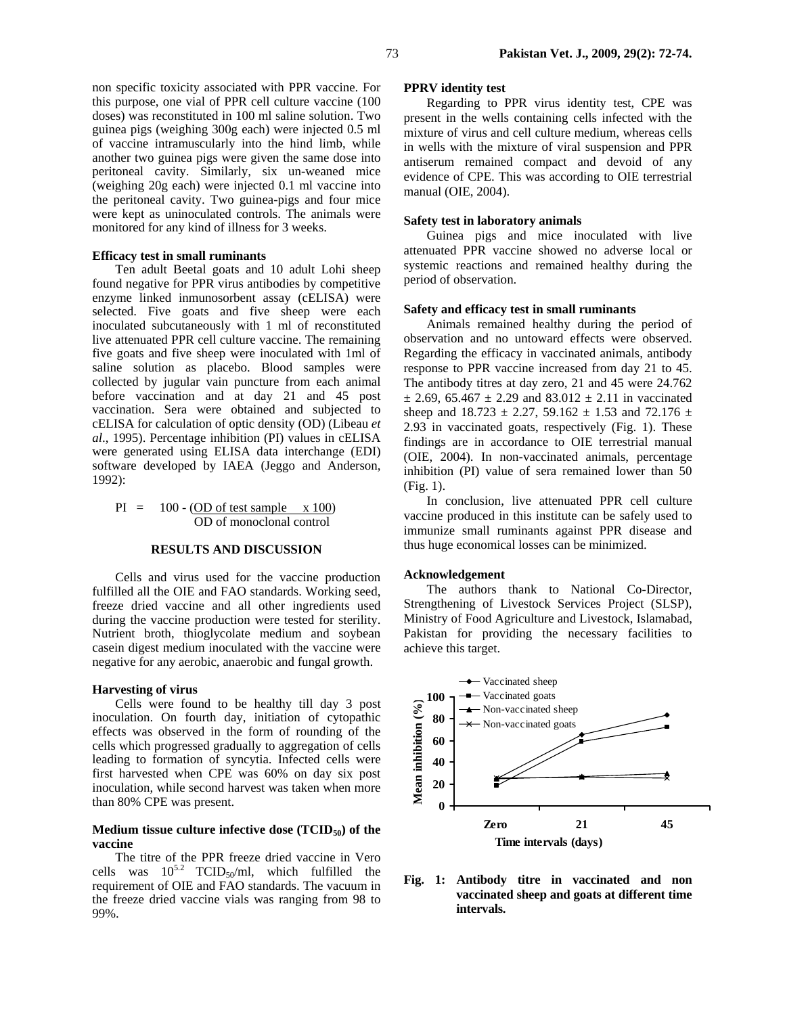non specific toxicity associated with PPR vaccine. For this purpose, one vial of PPR cell culture vaccine (100 doses) was reconstituted in 100 ml saline solution. Two guinea pigs (weighing 300g each) were injected 0.5 ml of vaccine intramuscularly into the hind limb, while another two guinea pigs were given the same dose into peritoneal cavity. Similarly, six un-weaned mice (weighing 20g each) were injected 0.1 ml vaccine into the peritoneal cavity. Two guinea-pigs and four mice were kept as uninoculated controls. The animals were monitored for any kind of illness for 3 weeks.

#### **Efficacy test in small ruminants**

Ten adult Beetal goats and 10 adult Lohi sheep found negative for PPR virus antibodies by competitive enzyme linked inmunosorbent assay (cELISA) were selected. Five goats and five sheep were each inoculated subcutaneously with 1 ml of reconstituted live attenuated PPR cell culture vaccine. The remaining five goats and five sheep were inoculated with 1ml of saline solution as placebo. Blood samples were collected by jugular vain puncture from each animal before vaccination and at day 21 and 45 post vaccination. Sera were obtained and subjected to cELISA for calculation of optic density (OD) (Libeau *et al*., 1995). Percentage inhibition (PI) values in cELISA were generated using ELISA data interchange (EDI) software developed by IAEA (Jeggo and Anderson, 1992):

 $PI = 100 - (OD of test sample x 100)$ OD of monoclonal control

## **RESULTS AND DISCUSSION**

Cells and virus used for the vaccine production fulfilled all the OIE and FAO standards. Working seed, freeze dried vaccine and all other ingredients used during the vaccine production were tested for sterility. Nutrient broth, thioglycolate medium and soybean casein digest medium inoculated with the vaccine were negative for any aerobic, anaerobic and fungal growth.

#### **Harvesting of virus**

Cells were found to be healthy till day 3 post inoculation. On fourth day, initiation of cytopathic effects was observed in the form of rounding of the cells which progressed gradually to aggregation of cells leading to formation of syncytia. Infected cells were first harvested when CPE was 60% on day six post inoculation, while second harvest was taken when more than 80% CPE was present.

## Medium tissue culture infective dose (TCID<sub>50</sub>) of the **vaccine**

The titre of the PPR freeze dried vaccine in Vero cells was  $10^{5.2}$  TCID<sub>50</sub>/ml, which fulfilled the requirement of OIE and FAO standards. The vacuum in the freeze dried vaccine vials was ranging from 98 to 99%.

### **PPRV identity test**

Regarding to PPR virus identity test, CPE was present in the wells containing cells infected with the mixture of virus and cell culture medium, whereas cells in wells with the mixture of viral suspension and PPR antiserum remained compact and devoid of any evidence of CPE. This was according to OIE terrestrial manual (OIE, 2004).

### **Safety test in laboratory animals**

Guinea pigs and mice inoculated with live attenuated PPR vaccine showed no adverse local or systemic reactions and remained healthy during the period of observation.

# **Safety and efficacy test in small ruminants**

Animals remained healthy during the period of observation and no untoward effects were observed. Regarding the efficacy in vaccinated animals, antibody response to PPR vaccine increased from day 21 to 45. The antibody titres at day zero, 21 and 45 were 24.762  $\pm$  2.69, 65.467  $\pm$  2.29 and 83.012  $\pm$  2.11 in vaccinated sheep and  $18.723 \pm 2.27$ , 59.162  $\pm$  1.53 and 72.176  $\pm$ 2.93 in vaccinated goats, respectively (Fig. 1). These findings are in accordance to OIE terrestrial manual (OIE, 2004). In non-vaccinated animals, percentage inhibition (PI) value of sera remained lower than 50 (Fig. 1).

In conclusion, live attenuated PPR cell culture vaccine produced in this institute can be safely used to immunize small ruminants against PPR disease and thus huge economical losses can be minimized.

#### **Acknowledgement**

The authors thank to National Co-Director, Strengthening of Livestock Services Project (SLSP), Ministry of Food Agriculture and Livestock, Islamabad, Pakistan for providing the necessary facilities to achieve this target.



**Fig. 1: Antibody titre in vaccinated and non vaccinated sheep and goats at different time intervals.**